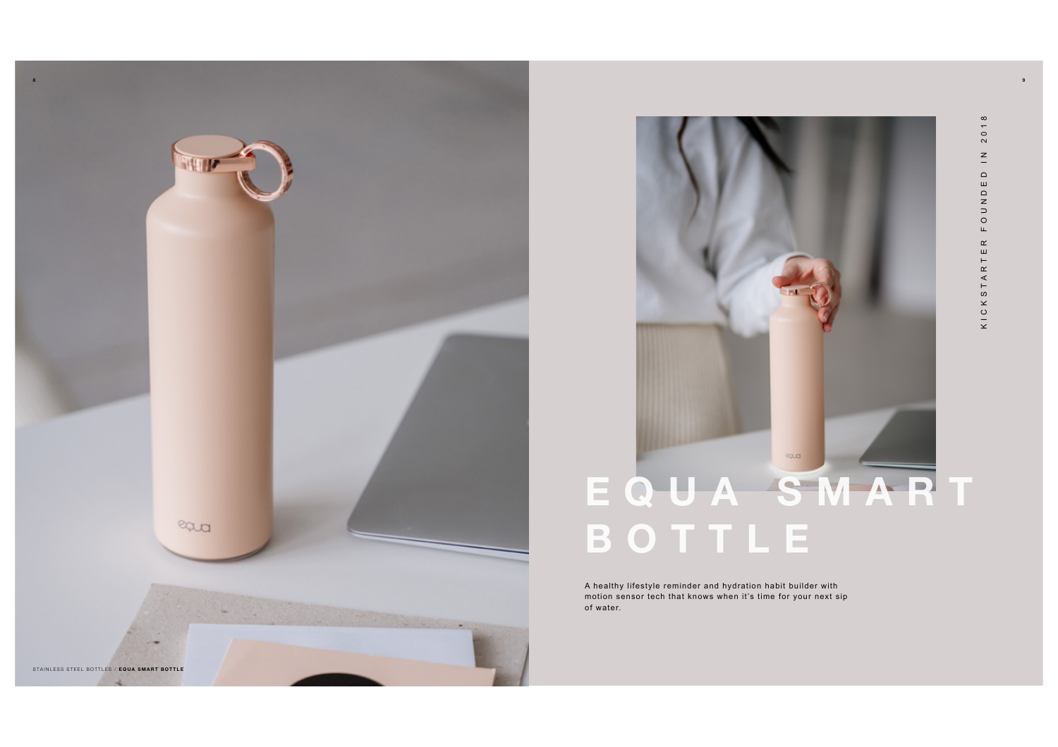



A healthy lifestyle reminder and hydration habit builder with motion sensor tech that knows when it's time for your next sip of water.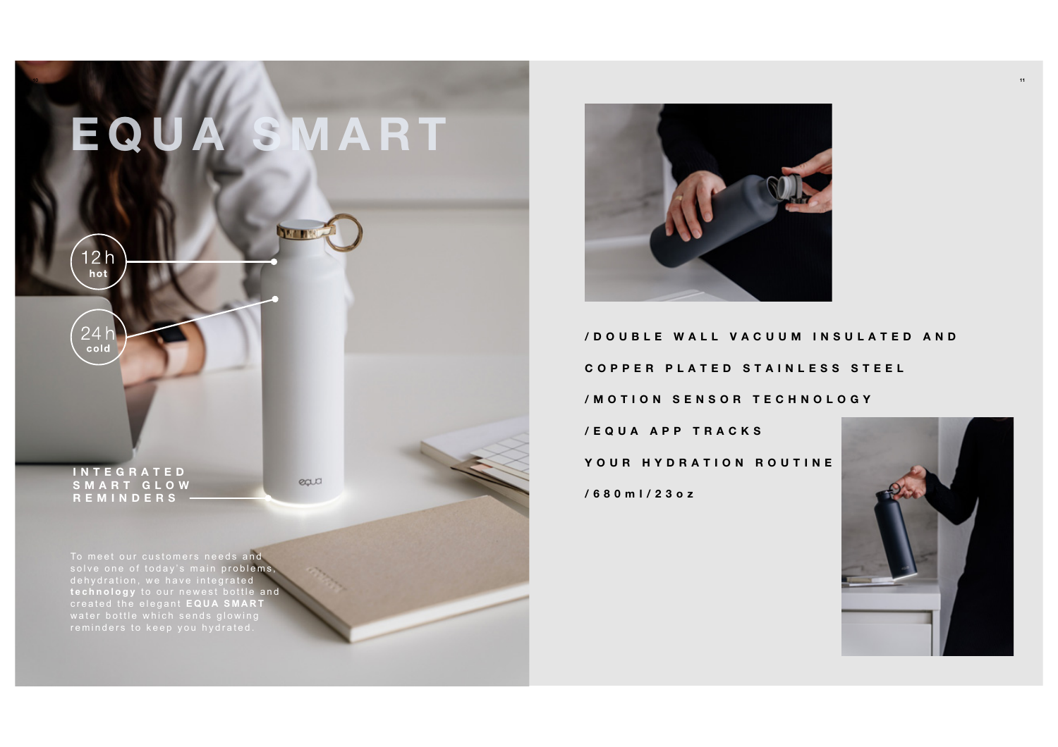



**/ D O U B L E W A L L V A C U U M I N S U L A T E D A N D COPPER PLATED STAINLESS STEEL /MOTION SENSOR TECHNOLOGY**

**/ E Q U A A P P T R A C K S YOUR HYDRATION ROUTINE /680 ml/23oz**



To meet our customers needs and solve one of today's main problems dehydration, we have integrated technology to our newest bottle and created the elegant **EQUA SMART**